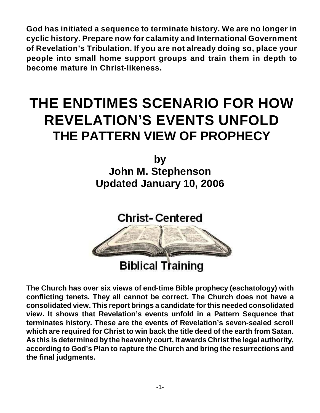**God has initiated a sequence to terminate history. We are no longer in cyclic history. Prepare now for calamity and International Government of Revelation's Tribulation. If you are not already doing so, place your people into small home support groups and train them in depth to become mature in Christ-likeness.**

# **THE ENDTIMES SCENARIO FOR HOW REVELATION'S EVENTS UNFOLD THE PATTERN VIEW OF PROPHECY**

**by John M. Stephenson Updated January 10, 2006**

**Christ-Centered** 



# **Biblical Training**

**The Church has over six views of end-time Bible prophecy (eschatology) with conflicting tenets. They all cannot be correct. The Church does not have a consolidated view. This report brings a candidate for this needed consolidated view. It shows that Revelation's events unfold in a Pattern Sequence that terminates history. These are the events of Revelation's seven-sealed scroll which are required for Christ to win back the title deed of the earth from Satan. As this is determined by the heavenly court, it awards Christ the legal authority, according to God's Plan to rapture the Church and bring the resurrections and the final judgments.**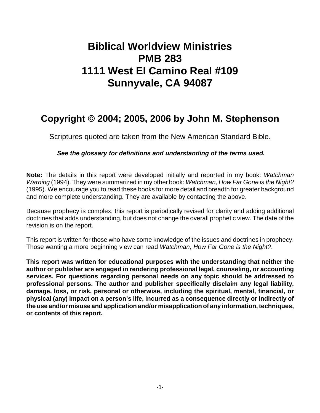# **Biblical Worldview Ministries PMB 283 1111 West El Camino Real #109 Sunnyvale, CA 94087**

# **Copyright © 2004; 2005, 2006 by John M. Stephenson**

Scriptures quoted are taken from the New American Standard Bible.

*See the glossary for definitions and understanding of the terms used.*

**Note:** The details in this report were developed initially and reported in my book: *Watchman Warning* (1994). They were summarized in my other book: *Watchman, How Far Gone is the Night?* (1995). We encourage you to read these books for more detail and breadth for greater background and more complete understanding. They are available by contacting the above.

Because prophecy is complex, this report is periodically revised for clarity and adding additional doctrines that adds understanding, but does not change the overall prophetic view. The date of the revision is on the report.

This report is written for those who have some knowledge of the issues and doctrines in prophecy. Those wanting a more beginning view can read *Watchman, How Far Gone is the Night?*.

**This report was written for educational purposes with the understanding that neither the author or publisher are engaged in rendering professional legal, counseling, or accounting services. For questions regarding personal needs on any topic should be addressed to professional persons. The author and publisher specifically disclaim any legal liability, damage, loss, or risk, personal or otherwise, including the spiritual, mental, financial, or physical (any) impact on a person's life, incurred as a consequence directly or indirectly of the use and/or misuse and application and/or misapplication of any information, techniques, or contents of this report.**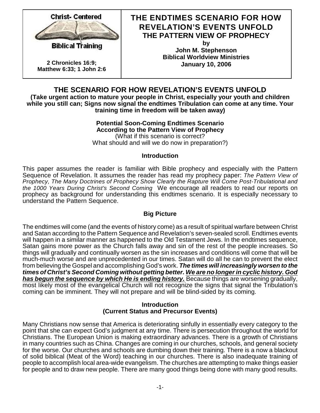

**2 Chronicles 16:9; Matthew 6:33; 1 John 2:6**

## **THE ENDTIMES SCENARIO FOR HOW REVELATION'S EVENTS UNFOLD THE PATTERN VIEW OF PROPHECY**

**by John M. Stephenson Biblical Worldview Ministries January 10, 2006**

## **THE SCENARIO FOR HOW REVELATION'S EVENTS UNFOLD**

**(Take urgent action to mature your people in Christ, especially your youth and children while you still can; Signs now signal the endtimes Tribulation can come at any time. Your training time in freedom will be taken away)**

> **Potential Soon-Coming Endtimes Scenario According to the Pattern View of Prophecy** (What if this scenario is correct? What should and will we do now in preparation?)

#### **Introduction**

This paper assumes the reader is familiar with Bible prophecy and especially with the Pattern Sequence of Revelation. It assumes the reader has read my prophecy paper: *The Pattern View of Prophecy, The Many Doctrines of Prophecy Show Clearly the Rapture Will Come Post-Tribulational and the 1000 Years During Christ's Second Coming* We encourage all readers to read our reports on prophecy as background for understanding this endtimes scenario. It is especially necessary to understand the Pattern Sequence.

#### **Big Picture**

The endtimes will come (and the events of history come) as a result of spiritual warfare between Christ and Satan according to the Pattern Sequence and Revelation's seven-sealed scroll. Endtimes events will happen in a similar manner as happened to the Old Testament Jews. In the endtimes sequence, Satan gains more power as the Church falls away and sin of the rest of the people increases. So things will gradually and continually worsen as the sin increases and conditions will come that will be much-much worse and are unprecedented in our times. Satan will do all he can to prevent the elect from believing the Gospel and accomplishing God's work. *The times will increasingly worsen to the times of Christ's Second Coming without getting better. We are no longer in cyclic history. God has begun the sequence by which He is ending history.* Because things are worsening gradually, most likely most of the evangelical Church will not recognize the signs that signal the Tribulation's coming can be imminent. They will not prepare and will be blind-sided by its coming.

#### **Introduction (Current Status and Precursor Events)**

Many Christians now sense that America is deteriorating sinfully in essentially every category to the point that she can expect God's judgment at any time. There is persecution throughout the world for Christians. The European Union is making extraordinary advances. There is a growth of Christians in many countries such as China. Changes are coming in our churches, schools, and general society for the worse. Our churches and schools are dumbing down their training. There is a now a blackout of solid biblical (Meat of the Word) teaching in our churches. There is also inadequate training of people to accomplish local area-wide evangelism. The churches are attempting to make things easier for people and to draw new people. There are many good things being done with many good results.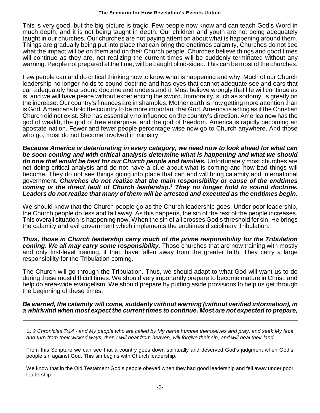This is very good, but the big picture is tragic. Few people now know and can teach God's Word in much depth, and it is not being taught in depth. Our children and youth are not being adequately taught in our churches. Our churches are not paying attention about what is happening around them. Things are gradually being put into place that can bring the endtimes calamity, Churches do not see what the impact will be on them and on their Church people. Churches believe things and good times will continue as they are, not realizing the current times will be suddenly terminated without any warning. People not prepared at the time, will be caught blind-sided. This can be most of the churches.

Few people can and do critical thinking now to know what is happening and why. Much of our Church leadership no longer holds to sound doctrine and has eyes that cannot adequate see and ears that can adequately hear sound doctrine and understand it. Most believe wrongly that life will continue as is, and we will have peace without experiencing the sword. Immorality, such as sodomy, is greatly on the increase. Our country's finances are in shambles. Mother earth is now getting more attention than is God. Americans hold the country to be more important that God. America is acting as if the Christian Church did not exist. She has essentially no influence on the country's direction. America now has the god of wealth, the god of free enterprise, and the god of freedom. America is rapidly becoming an apostate nation. Fewer and fewer people percentage-wise now go to Church anywhere. And those who go, most do not become involved in ministry.

*Because America is deteriorating in every category, we need now to look ahead for what can be soon coming and with critical analysis determine what is happening and what we should do now that would be best for our Church people and families.* Unfortunately most churches are not doing critical analysis and do not have a clue about what is coming and how bad things will become. They do not see things going into place that can and will bring calamity and international government. *Churches do not realize that the main responsibility or cause of the endtimes* coming is the direct fault of Church leadership.<sup>1</sup> They no longer hold to sound doctrine. *Leaders do not realize that many of them will be arrested and executed as the endtimes begin.*

We should know that the Church people go as the Church leadership goes. Under poor leadership, the Church people do less and fall away. As this happens, the sin of the rest of the people increases. This overall situation is happening now. When the sin of all crosses God's threshold for sin, He brings the calamity and evil government which implements the endtimes disciplinary Tribulation.

*Thus, those in Church leadership carry much of the prime responsibility for the Tribulation coming. We all may carry some responsibility.* Those churches that are now training with mostly and only first-level training, if that, have fallen away from the greater faith. They carry a large responsibility for the Tribulation coming.

The Church will go through the Tribulation. Thus, we should adapt to what God will want us to do during these most difficult times. We should very importantly prepare to become mature in Christ, and help do area-wide evangelism. We should prepare by putting aside provisions to help us get through the beginning of these times.

#### *Be warned, the calamity will come, suddenly without warning (without verified information), in a whirlwind when most expect the current times to continue. Most are not expected to prepare,*

1. *2 Chronicles 7:14 - and My people who are called by My name humble themselves and pray, and seek My face and turn from their wicked ways, then I will hear from heaven, will forgive their sin, and will heal their land.*

From this Scripture we can see that a country goes down spiritually and deserved God's judgment when God's people sin against God. This sin begins with Church leadership.

We know that in the Old Testament God's people obeyed when they had good leadership and fell away under poor leadership.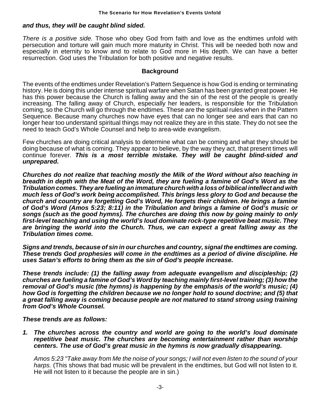#### *and thus, they will be caught blind sided.*

*There is a positive side.* Those who obey God from faith and love as the endtimes unfold with persecution and torture will gain much more maturity in Christ. This will be needed both now and especially in eternity to know and to relate to God more in His depth. We can have a better resurrection. God uses the Tribulation for both positive and negative results.

#### **Background**

The events of the endtimes under Revelation's Pattern Sequence is how God is ending or terminating history. He is doing this under intense spiritual warfare when Satan has been granted great power. He has this power because the Church is falling away and the sin of the rest of the people is greatly increasing. The falling away of Church, especially her leaders, is responsible for the Tribulation coming, so the Church will go through the endtimes. These are the spiritual rules when in the Pattern Sequence. Because many churches now have eyes that can no longer see and ears that can no longer hear too understand spiritual things may not realize they are in this state. They do not see the need to teach God's Whole Counsel and help to area-wide evangelism.

Few churches are doing critical analysis to determine what can be coming and what they should be doing because of what is coming. They appear to believe, by the way they act, that present times will continue forever. *This is a most terrible mistake. They will be caught blind-sided and unprepared.*

*Churches do not realize that teaching mostly the Milk of the Word without also teaching in breadth in depth with the Meat of the Word, they are fueling a famine of God's Word as the Tribulation comes. They are fueling an immature church with a loss of biblical intellect and with much less of God's work being accomplished. This brings less glory to God and because the church and country are forgetting God's Word, He forgets their children. He brings a famine of God's Word (Amos 5:23; 8:11) in the Tribulation and brings a famine of God's music or songs (such as the good hymns). The churches are doing this now by going mainly to only first-level teaching and using the world's loud dominate rock-type repetitive beat music. They are bringing the world into the Church. Thus, we can expect a great falling away as the Tribulation times come.*

*Signs and trends, because of sin in our churches and country, signal the endtimes are coming. These trends God prophesies will come in the endtimes as a period of divine discipline. He uses Satan's efforts to bring them as the sin of God's people increase.* 

*These trends include: (1) the falling away from adequate evangelism and discipleship; (2) churches are fueling a famine of God's Word by teaching mainly first-level training; (3) how the removal of God's music (the hymns) is happening by the emphasis of the world's music; (4) how God is forgetting the children because we no longer hold to sound doctrine; and (5) that a great falling away is coming because people are not matured to stand strong using training from God's Whole Counsel.* 

#### *These trends are as follows:*

*1. The churches across the country and world are going to the world's loud dominate repetitive beat music. The churches are becoming entertainment rather than worship centers. The use of God's great music in the hymns is now gradually disappearing.*

*Amos 5:23 "Take away from Me the noise of your songs; I will not even listen to the sound of your harps.* (This shows that bad music will be prevalent in the endtimes, but God will not listen to it. He will not listen to it because the people are in sin.)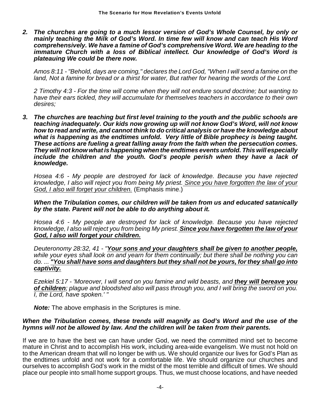*2. The churches are going to a much lessor version of God's Whole Counsel, by only or mainly teaching the Milk of God's Word. In time few will know and can teach His Word comprehensively. We have a famine of God's comprehensive Word. We are heading to the immature Church with a loss of Biblical intellect. Our knowledge of God's Word is plateauing We could be there now.*

*Amos 8:11 - "Behold, days are coming," declares the Lord God, "When I will send a famine on the land, Not a famine for bread or a thirst for water, But rather for hearing the words of the Lord.*

*2 Timothy 4:3 - For the time will come when they will not endure sound doctrine; but wanting to have their ears tickled, they will accumulate for themselves teachers in accordance to their own desires;*

*3. The churches are teaching but first level training to the youth and the public schools are teaching inadequately. Our kids now growing up will not know God's Word, will not know how to read and write, and cannot think to do critical analysis or have the knowledge about what is happening as the endtimes unfold. Very little of Bible prophecy is being taught. These actions are fueling a great falling away from the faith when the persecution comes. They will not know what is happening when the endtimes events unfold. This will especially include the children and the youth. God's people perish when they have a lack of knowledge.*

*Hosea 4:6 - My people are destroyed for lack of knowledge. Because you have rejected knowledge, I also will reject you from being My priest. Since you have forgotten the law of your God, I also will forget your children.* (Emphasis mine.)

*When the Tribulation comes, our children will be taken from us and educated satanically by the state. Parent will not be able to do anything about it.*

*Hosea 4:6 - My people are destroyed for lack of knowledge. Because you have rejected knowledge, I also will reject you from being My priest. Since you have forgotten the law of your God, I also will forget your children.*

*Deuteronomy 28:32, 41 - "Your sons and your daughters shall be given to another people, while your eyes shall look on and yearn for them continually; but there shall be nothing you can do. ... "You shall have sons and daughters but they shall not be yours, for they shall go into captivity.*

*Ezekiel 5:17 - 'Moreover, I will send on you famine and wild beasts, and they will bereave you of children; plague and bloodshed also will pass through you, and I will bring the sword on you. I, the Lord, have spoken.' "*

*Note:* The above emphasis in the Scriptures is mine.

#### *When the Tribulation comes, these trends will magnify as God's Word and the use of the hymns will not be allowed by law. And the children will be taken from their parents.*

If we are to have the best we can have under God, we need the committed mind set to become mature in Christ and to accomplish His work, including area-wide evangelism. We must not hold on to the American dream that will no longer be with us. We should organize our lives for God's Plan as the endtimes unfold and not work for a comfortable life. We should organize our churches and ourselves to accomplish God's work in the midst of the most terrible and difficult of times. We should place our people into small home support groups. Thus, we must choose locations, and have needed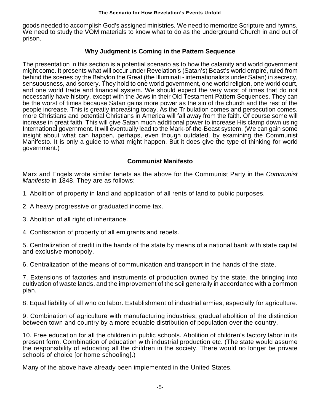goods needed to accomplish God's assigned ministries. We need to memorize Scripture and hymns. We need to study the VOM materials to know what to do as the underground Church in and out of prison.

### **Why Judgment is Coming in the Pattern Sequence**

The presentation in this section is a potential scenario as to how the calamity and world government might come. It presents what will occur under Revelation's (Satan's) Beast's world empire, ruled from behind the scenes by the Babylon the Great (the Illuminati - internationalists under Satan) in secrecy, sensuousness, and sorcery. They hold to one world government, one world religion, one world court, and one world trade and financial system. We should expect the very worst of times that do not necessarily have history, except with the Jews in their Old Testament Pattern Sequences. They can be the worst of times because Satan gains more power as the sin of the church and the rest of the people increase. This is greatly increasing today. As the Tribulation comes and persecution comes, more Christians and potential Christians in America will fall away from the faith. Of course some will increase in great faith. This will give Satan much additional power to increase His clamp down using International government. It will eventually lead to the Mark-of-the-Beast system. (We can gain some insight about what can happen, perhaps, even though outdated, by examining the Communist Manifesto. It is only a guide to what might happen. But it does give the type of thinking for world government.)

### **Communist Manifesto**

Marx and Engels wrote similar tenets as the above for the Communist Party in the *Communist Manifesto* in 1848. They are as follows:

- 1. Abolition of property in land and application of all rents of land to public purposes.
- 2. A heavy progressive or graduated income tax.
- 3. Abolition of all right of inheritance.
- 4. Confiscation of property of all emigrants and rebels.

5. Centralization of credit in the hands of the state by means of a national bank with state capital and exclusive monopoly.

6. Centralization of the means of communication and transport in the hands of the state.

7. Extensions of factories and instruments of production owned by the state, the bringing into cultivation of waste lands, and the improvement of the soil generally in accordance with a common plan.

8. Equal liability of all who do labor. Establishment of industrial armies, especially for agriculture.

9. Combination of agriculture with manufacturing industries; gradual abolition of the distinction between town and country by a more equable distribution of population over the country.

10. Free education for all the children in public schools. Abolition of children's factory labor in its present form. Combination of education with industrial production etc. (The state would assume the responsibility of educating all the children in the society. There would no longer be private schools of choice [or home schooling].)

Many of the above have already been implemented in the United States.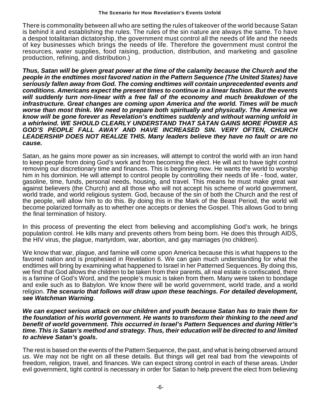There is commonality between all who are setting the rules of takeover of the world because Satan is behind it and establishing the rules. The rules of the sin nature are always the same. To have a despot totalitarian dictatorship, the government must control all the needs of life and the needs of key businesses which brings the needs of life. Therefore the government must control the resources, water supplies, food raising, production, distribution, and marketing and gasoline production, refining, and distribution.)

*Thus, Satan will be given great power at the time of the calamity because the Church and the people in the endtimes most favored nation in the Pattern Sequence (The United States) have seriously fallen away from God. The coming endtimes will contain unprecedented events and conditions. Americans expect the present times to continue in a linear fashion. But the events will suddenly turn non-linear with a free fall of the economy and much breakdown of the infrastructure. Great changes are coming upon America and the world. Times will be much worse than most think. We need to prepare both spiritually and physically. The America we know will be gone forever as Revelation's endtimes suddenly and without warning unfold in a whirlwind. WE SHOULD CLEARLY UNDERSTAND THAT SATAN GAINS MORE POWER AS GOD'S PEOPLE FALL AWAY AND HAVE INCREASED SIN. VERY OFTEN, CHURCH LEADERSHIP DOES NOT REALIZE THIS. Many leaders believe they have no fault or are no cause.*

Satan, as he gains more power as sin increases, will attempt to control the world with an iron hand to keep people from doing God's work and from becoming the elect. He will act to have tight control removing our discretionary time and finances. This is beginning now. He wants the world to worship him in his dominion. He will attempt to control people by controlling their needs of life - food, water, gasoline, time, funds, personal needs, housing, and travel. This means he must make great war against believers (the Church) and all those who will not accept his scheme of world government, world trade, and world religious system. God, because of the sin of both the Church and the rest of the people, will allow him to do this. By doing this in the Mark of the Beast Period, the world will become polarized formally as to whether one accepts or denies the Gospel. This allows God to bring the final termination of history.

In this process of preventing the elect from believing and accomplishing God's work, he brings population control. He kills many and prevents others from being born. He does this through AIDS, the HIV virus, the plague, martyrdom, war, abortion, and gay marriages (no children).

We know that war, plague, and famine will come upon America because this is what happens to the favored nation and is prophesied in Revelation 6. We can gain much understanding for what the endtimes will bring by examining what happened to Israel in her Patterned Sequences. By doing this, we find that God allows the children to be taken from their parents, all real estate is confiscated, there is a famine of God's Word, and the people's music is taken from them. Many were taken to bondage and exile such as to Babylon. We know there will be world government, world trade, and a world religion. *The scenario that follows will draw upon these teachings. For detailed development, see Watchman Warning*.

*We can expect serious attack on our children and youth because Satan has to train them for the foundation of his world government. He wants to transform their thinking to the need and benefit of world government. This occurred in Israel's Pattern Sequences and during Hitler's time. This is Satan's method and strategy. Thus, their education will be directed to and limited to achieve Satan's goals.*

The rest is based on the events of the Pattern Sequence, the past, and what is being observed around us. We may not be right on all these details. But things will get real bad from the viewpoints of freedom, religion, travel, and finances. We can expect strong control in each of these areas. Under evil government, tight control is necessary in order for Satan to help prevent the elect from believing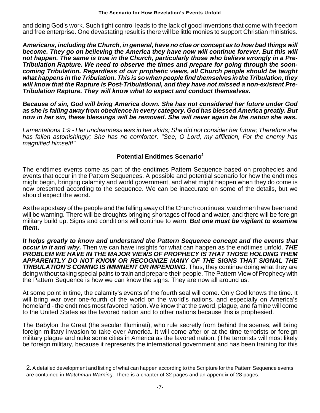and doing God's work. Such tight control leads to the lack of good inventions that come with freedom and free enterprise. One devastating result is there will be little monies to support Christian ministries.

*Americans, including the Church, in general, have no clue or concept as to how bad things will become. They go on believing the America they have now will continue forever. But this will not happen. The same is true in the Church, particularly those who believe wrongly in a Pre-Tribulation Rapture. We need to observe the times and prepare for going through the sooncoming Tribulation. Regardless of our prophetic views, all Church people should be taught what happens in the Tribulation. This is so when people find themselves in the Tribulation, they will know that the Rapture is Post-Tribulational, and they have not missed a non-existent Pre-Tribulation Rapture. They will know what to expect and conduct themselves.*

*Because of sin, God will bring America down. She has not considered her future under God as she is falling away from obedience in every category. God has blessed America greatly. But now in her sin, these blessings will be removed. She will never again be the nation she was.*

*Lamentations 1:9 - Her uncleanness was in her skirts; She did not consider her future; Therefore she has fallen astonishingly; She has no comforter. "See, O Lord, my affliction, For the enemy has magnified himself!"*

### **Potential Endtimes Scenario<sup>2</sup>**

The endtimes events come as part of the endtimes Pattern Sequence based on prophecies and events that occur in the Pattern Sequences. A possible and potential scenario for how the endtimes might begin, bringing calamity and world government, and what might happen when they do come is now presented according to the sequence. We can be inaccurate on some of the details, but we should expect the worst.

As the apostasy of the people and the falling away of the Church continues, watchmen have been and will be warning. There will be droughts bringing shortages of food and water, and there will be foreign military build up. Signs and conditions will continue to warn. *But one must be vigilant to examine them.* 

*It helps greatly to know and understand the Pattern Sequence concept and the events that occur in it and why.* Then we can have insights for what can happen as the endtimes unfold. *THE PROBLEM WE HAVE IN THE MAJOR VIEWS OF PROPHECY IS THAT THOSE HOLDING THEM APPARENTLY DO NOT KNOW OR RECOGNIZE MANY OF THE SIGNS THAT SIGNAL THE* **TRIBULATION'S COMING IS IMMINENT OR IMPENDING.** Thus, they continue doing what they are doing without taking special pains to train and prepare their people. The Pattern View of Prophecy with the Pattern Sequence is how we can know the signs. They are now all around us.

At some point in time, the calamity's events of the fourth seal will come. Only God knows the time. It will bring war over one-fourth of the world on the world's nations, and especially on America's homeland - the endtimes most favored nation. We know that the sword, plague, and famine will come to the United States as the favored nation and to other nations because this is prophesied.

The Babylon the Great (the secular Illuminati), who rule secretly from behind the scenes, will bring foreign military invasion to take over America. It will come after or at the time terrorists or foreign military plague and nuke some cities in America as the favored nation. (The terrorists will most likely be foreign military, because it represents the international government and has been training for this

<sup>2</sup>. A detailed development and listing of what can happen according to the Scripture for the Pattern Sequence events are contained in *Watchman Warning*. There is a chapter of 32 pages and an appendix of 28 pages.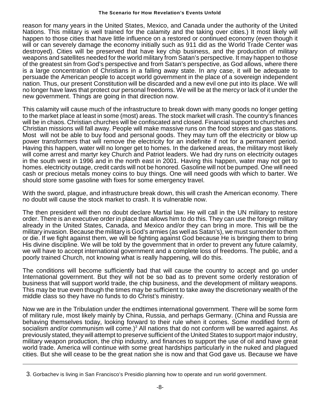#### **The Scenario for How Revelation's Events Unfold**

reason for many years in the United States, Mexico, and Canada under the authority of the United Nations. This military is well trained for the calamity and the taking over cities.) It most likely will happen to those cities that have little influence on a restored or continued economy (even though it will or can severely damage the economy initially such as 911 did as the World Trade Center was destroyed). Cities will be preserved that have key chip business, and the production of military weapons and satellites needed for the world military from Satan's perspective. It may happen to those of the greatest sin from God's perspective and from Satan's perspective, as God allows, where there is a large concentration of Christians in a falling away state. In any case, it will be adequate to persuade the American people to accept world government in the place of a sovereign independent nation. Thus, our present Constitution will be discarded and a new evil one put into its place. We will no longer have laws that protect our personal freedoms. We will be at the mercy or lack of it under the new government. Things are going in that direction now.

This calamity will cause much of the infrastructure to break down with many goods no longer getting to the market place at least in some (most) areas. The stock market will crash. The country's finances will be in chaos. Christian churches will be confiscated and closed. Financial support to churches and Christian missions will fall away. People will make massive runs on the food stores and gas stations. Most will not be able to buy food and personal goods. They may turn off the electricity or blow up power transformers that will remove the electricity for an indefinite if not for a permanent period. Having this happen, water will no longer get to homes. In the darkened areas, the military most likely will come arrest and martyr key Church and Patriot leaders. We had dry runs on electricity outages in the south west in 1996 and in the north east in 2001. Having this happen, water may not get to homes. electricity outage, credit cards will not be honored. Gasoline will not be pumped. One will need cash or precious metals money coins to buy things. One will need goods with which to barter. We should store some gasoline with fixes for some emergency travel.

With the sword, plague, and infrastructure break down, this will crash the American economy. There no doubt will cause the stock market to crash. It is vulnerable now.

The then president will then no doubt declare Martial law. He will call in the UN military to restore order. There is an executive order in place that allows him to do this. They can use the foreign military already in the United States, Canada, and Mexico and/or they can bring in more. This will be the military invasion. Because the military is God's armies (as well as Satan's), we must surrender to them or die. If we fight against them, we will be fighting against God because He is bringing them to bring His divine discipline. We will be told by the government that in order to prevent any future calamity, we will have to accept international government and a complete loss of freedoms. The public, and a poorly trained Church, not knowing what is really happening, will do this.

The conditions will become sufficiently bad that will cause the country to accept and go under International government. But they will not be so bad as to prevent some orderly restoration of business that will support world trade, the chip business, and the development of military weapons. This may be true even though the times may be sufficient to take away the discretionary wealth of the middle class so they have no funds to do Christ's ministry.

Now we are in the Tribulation under the endtimes international government. There will be some form of military rule, most likely mainly by China, Russia, and perhaps Germany. (China and Russia are behaving themselves today, looking forward to their rule when it comes. Some modified form of socialism and/or communism will come.)<sup>3</sup> All nations that do not conform will be warred against. As previously stated, they will attempt to preserve sufficient of the United States to support major industry, military weapon production, the chip industry, and finances to support the use of oil and have great world trade. America will continue with some great hardships particularly in the nuked and plagued cities. But she will cease to be the great nation she is now and that God gave us. Because we have

<sup>3</sup>. Gorbachev is living in San Francisco's Presidio planning how to operate and run world government.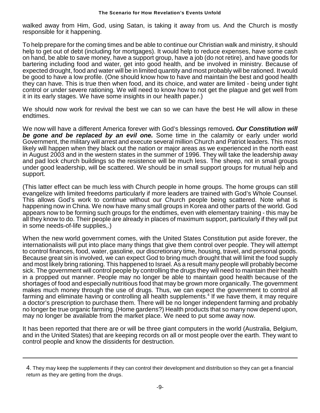walked away from Him, God, using Satan, is taking it away from us. And the Church is mostly responsible for it happening.

To help prepare for the coming times and be able to continue our Christian walk and ministry, it should help to get out of debt (including for mortgages). It would help to reduce expenses, have some cash on hand, be able to save money, have a support group, have a job (do not retire), and have goods for bartering including food and water, get into good health, and be involved in ministry. Because of expected drought, food and water will be in limited quantity and most probably will be rationed. It would be good to have a low profile. (One should know how to have and maintain the best and good health they can have. This is true then when food, and its choice, and water are limited - being under tight control or under severe rationing. We will need to know how to not get the plague and get well from it in its early stages. We have some insights in our health paper.)

We should now work for revival the best we can so we can have the best He will allow in these endtimes.

We now will have a different America forever with God's blessings removed*. Our Constitution will be gone and be replaced by an evil one.* Some time in the calamity or early under world Government, the military will arrest and execute several million Church and Patriot leaders. This most likely will happen when they black out the nation or major areas as we experienced in the north east in August 2003 and in the western states in the summer of 1996. They will take the leadership away and pad lock church buildings so the resistence will be much less. The sheep, not in small groups under good leadership, will be scattered. We should be in small support groups for mutual help and support.

(This latter effect can be much less with Church people in home groups. The home groups can still evangelize with limited freedoms particularly if more leaders are trained with God's Whole Counsel. This allows God's work to continue without our Church people being scattered. Note what is happening now in China. We now have many small groups in Korea and other parts of the world. God appears now to be forming such groups for the endtimes, even with elementary training - this may be all they know to do. Their people are already in places of maximum support, particularly if they will put in some needs-of-life supplies,.)

When the new world government comes, with the United States Constitution put aside forever, the internationalists will put into place many things that give them control over people. They will attempt to control finances, food, water, gasoline, our discretionary time, housing, travel, and personal goods. Because great sin is involved, we can expect God to bring much drought that will limit the food supply and most likely bring rationing. This happened to Israel. As a result many people will probably become sick. The government will control people by controlling the drugs they will need to maintain their health in a propped out manner. People may no longer be able to maintain good health because of the shortages of food and especially nutritious food that may be grown more organically. The government makes much money through the use of drugs. Thus, we can expect the government to control all farming and eliminate having or controlling all health supplements.<sup>4</sup> If we have them, it may require a doctor's prescription to purchase them. There will be no longer independent farming and probably no longer be true organic farming. (Home gardens?) Health products that so many now depend upon, may no longer be available from the market place. We need to put some away now.

It has been reported that there are or will be three giant computers in the world (Australia, Belgium, and in the United States) that are keeping records on all or most people over the earth. They want to control people and know the dissidents for destruction.

<sup>4</sup>. They may keep the supplements if they can control their development and distribution so they can get a financial return as they are getting from the drugs.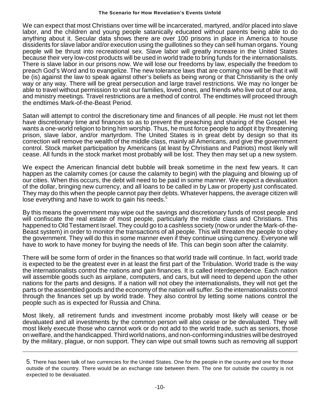#### **The Scenario for How Revelation's Events Unfold**

We can expect that most Christians over time will be incarcerated, martyred, and/or placed into slave labor, and the children and young people satanically educated without parents being able to do anything about it. Secular data shows there are over 100 prisons in place in America to house dissidents for slave labor and/or execution using the guillotines so they can sell human organs. Young people will be thrust into recreational sex. Slave labor will greatly increase in the United States because their very low-cost products will be used in world trade to bring funds for the internationalists. There is slave labor in our prisons now. We will lose our freedoms by law, especially the freedom to preach God's Word and to evangelize. The new tolerance laws that are coming now will be that it will be (is) against the law to speak against other's beliefs as being wrong or that Christianity is the only way or any way. There will be great persecution and large travel restrictions. We may no longer be able to travel without permission to visit our families, loved ones, and friends who live out of our area, and ministry meetings. Travel restrictions are a method of control. The endtimes will proceed through the endtimes Mark-of-the-Beast Period.

Satan will attempt to control the discretionary time and finances of all people. He must not let them have discretionary time and finances so as to prevent the preaching and sharing of the Gospel. He wants a one-world religion to bring him worship. Thus, he must force people to adopt it by threatening prison, slave labor, and/or martyrdom. The United States is in great debt by design so that its correction will remove the wealth of the middle class, mainly all Americans, and give the government control. Stock market participation by Americans (at least by Christians and Patriots) most likely will cease. All funds in the stock market most probably will be lost. They then may set up a new system.

We expect the American financial debt bubble will break sometime in the next few years. It can happen as the calamity comes (or cause the calamity to begin) with the plaguing and blowing up of our cities. When this occurs, the debt will need to be paid in some manner. We expect a devaluation of the dollar, bringing new currency, and all loans to be called in by Law or property just confiscated. They may do this when the people cannot pay their debts. Whatever happens, the average citizen will lose everything and have to work to gain his needs. $5$ 

By this means the government may wipe out the savings and discretionary funds of most people and will confiscate the real estate of most people, particularly the middle class and Christians. This happened to Old Testament Israel. They could go to a cashless society (now or under the Mark-of-the-Beast system) in order to monitor the transactions of all people. This will threaten the people to obey the government. They will do this in some manner even if they continue using currency. Everyone will have to work to have money for buying the needs of life. This can begin soon after the calamity.

There will be some form of order in the finances so that world trade will continue. In fact, world trade is expected to be the greatest ever in at least the first part of the Tribulation. World trade is the way the internationalists control the nations and gain finances. It is called interdependence. Each nation will assemble goods such as airplane, computers, and cars, but will need to depend upon the other nations for the parts and designs. If a nation will not obey the internationalists, they will not get the parts orthe assembled goods and the economy of the nation will suffer. So the internationalists control through the finances set up by world trade. They also control by letting some nations control the people such as is expected for Russia and China.

Most likely, all retirement funds and investment income probably most likely will cease or be devaluated and all investments by the common person will also cease or be devaluated. They will most likely execute those who cannot work or do not add to the world trade, such as seniors, those on welfare, and the handicapped. Third world nations, and non-conforming industries will be destroyed by the military, plague, or non support. They can wipe out small towns such as removing all support

<sup>5</sup>. There has been talk of two currencies for the United States. One for the people in the country and one for those outside of the country. There would be an exchange rate between them. The one for outside the country is not expected to be devaluated.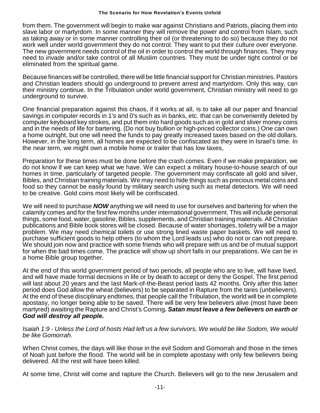#### **The Scenario for How Revelation's Events Unfold**

from them. The government will begin to make war against Christians and Patriots, placing them into slave labor or martyrdom. In some manner they will remove the power and control from Islam, such as taking away or in some manner controlling their oil (or threatening to do so) because they do not work well under world government they do not control. They want to put their culture over everyone. The new government needs control of the oil in order to control the world through finances. They may need to invade and/or take control of all Muslim countries. They must be under tight control or be eliminated from the spiritual game.

Because finances will be controlled, there will be little financial support for Christian ministries. Pastors and Christian leaders should go underground to prevent arrest and martyrdom. Only this way, can their ministry continue. In the Tribulation under world government, Christian ministry will need to go underground to survive.

One financial preparation against this chaos, if it works at all, is to take all our paper and financial savings in computer records in 1's and 0's such as in banks, etc. that can be conveniently deleted by computer keyboard key strokes, and put them into hard goods such as in gold and sliver money coins and in the needs of life for bartering. (Do not buy bullion or high-priced collector coins.) One can own a home outright, but one will need the funds to pay greatly increased taxes based on the old dollars. However, in the long term, all homes are expected to be confiscated as they were in Israel's time. In the near term, we might own a mobile home or trailer that has low taxes,

Preparation for these times must be done before the crash comes. Even if we make preparation, we do not know if we can keep what we have. We can expect a military house-to-house search of our homes in time, particularly of targeted people. The government may confiscate all gold and silver, Bibles, and Christian training materials. We may need to hide things such as precious metal coins and food so they cannot be easily found by military search using such as metal detectors. We will need to be creative. Gold coins most likely will be confiscated.

We will need to purchase *NOW* anything we will need to use for ourselves and bartering for when the calamity comes and for the first few months under international government. This will include personal things, some food, water, gasoline, Bibles, supplements, and Christian training materials. All Christian publications and Bible book stores will be closed. Because of water shortages, toiletry will be a major problem. We may need chemical toilets or use strong lined waste paper baskets. We will need to purchase sufficient goods to help others (to whom the Lord leads us) who do not or can not prepare. We should join now and practice with some friends who will prepare with us and be of mutual support for when the bad times come. The practice will show up short falls in our preparations. We can be in a home Bible group together.

At the end of this world government period of two periods, all people who are to live, will have lived, and will have made formal decisions in life or by death to accept or deny the Gospel. The first period will last about 20 years and the last Mark-of-the-Beast period lasts 42 months. Only after this latter period does God allow the wheat (believers) to be separated in Rapture from the tares (unbelievers). At the end of these disciplinary endtimes, that people call the Tribulation, the world will be in complete apostasy, no longer being able to be saved. There will be very few believers alive (most have been martyred) awaiting the Rapture and Christ's Coming*. Satan must leave a few believers on earth or God will destroy all people.* 

*Isaiah 1:9 - Unless the Lord of hosts Had left us a few survivors, We would be like Sodom, We would be like Gomorrah.*

When Christ comes, the days will like those in the evil Sodom and Gomorrah and those in the times of Noah just before the flood. The world will be in complete apostasy with only few believers being delivered. All the rest will have been killed.

At some time, Christ will come and rapture the Church. Believers will go to the new Jerusalem and